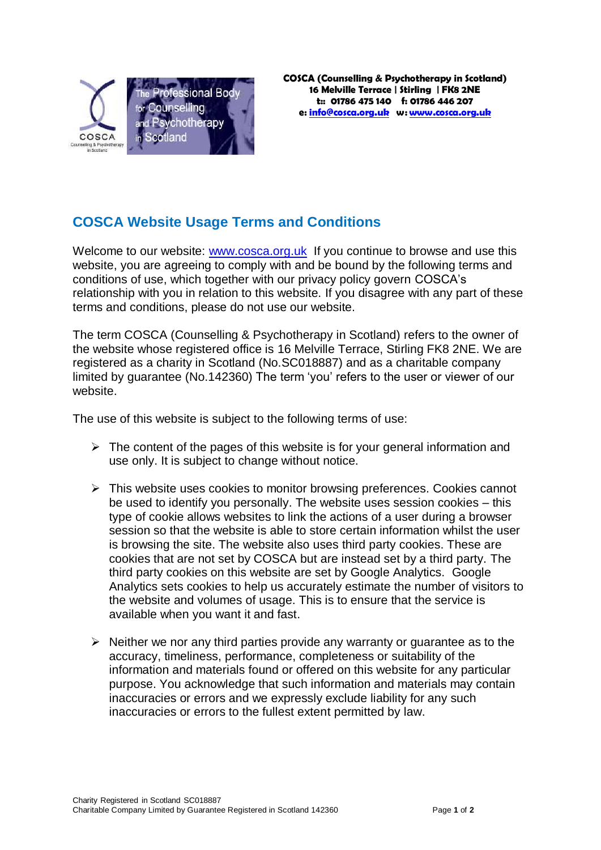

## **COSCA Website Usage Terms and Conditions**

Welcome to our website: [www.cosca.org.uk](http://www.cosca.org.uk/) If you continue to browse and use this website, you are agreeing to comply with and be bound by the following terms and conditions of use, which together with our privacy policy govern COSCA's relationship with you in relation to this website. If you disagree with any part of these terms and conditions, please do not use our website.

The term COSCA (Counselling & Psychotherapy in Scotland) refers to the owner of the website whose registered office is 16 Melville Terrace, Stirling FK8 2NE. We are registered as a charity in Scotland (No.SC018887) and as a charitable company limited by guarantee (No.142360) The term 'you' refers to the user or viewer of our website.

The use of this website is subject to the following terms of use:

- $\triangleright$  The content of the pages of this website is for your general information and use only. It is subject to change without notice.
- $\triangleright$  This website uses cookies to monitor browsing preferences. Cookies cannot be used to identify you personally. The website uses session cookies – this type of cookie allows websites to link the actions of a user during a browser session so that the website is able to store certain information whilst the user is browsing the site. The website also uses third party cookies. These are cookies that are not set by COSCA but are instead set by a third party. The third party cookies on this website are set by Google Analytics. Google Analytics sets cookies to help us accurately estimate the number of visitors to the website and volumes of usage. This is to ensure that the service is available when you want it and fast.
- $\triangleright$  Neither we nor any third parties provide any warranty or quarantee as to the accuracy, timeliness, performance, completeness or suitability of the information and materials found or offered on this website for any particular purpose. You acknowledge that such information and materials may contain inaccuracies or errors and we expressly exclude liability for any such inaccuracies or errors to the fullest extent permitted by law.